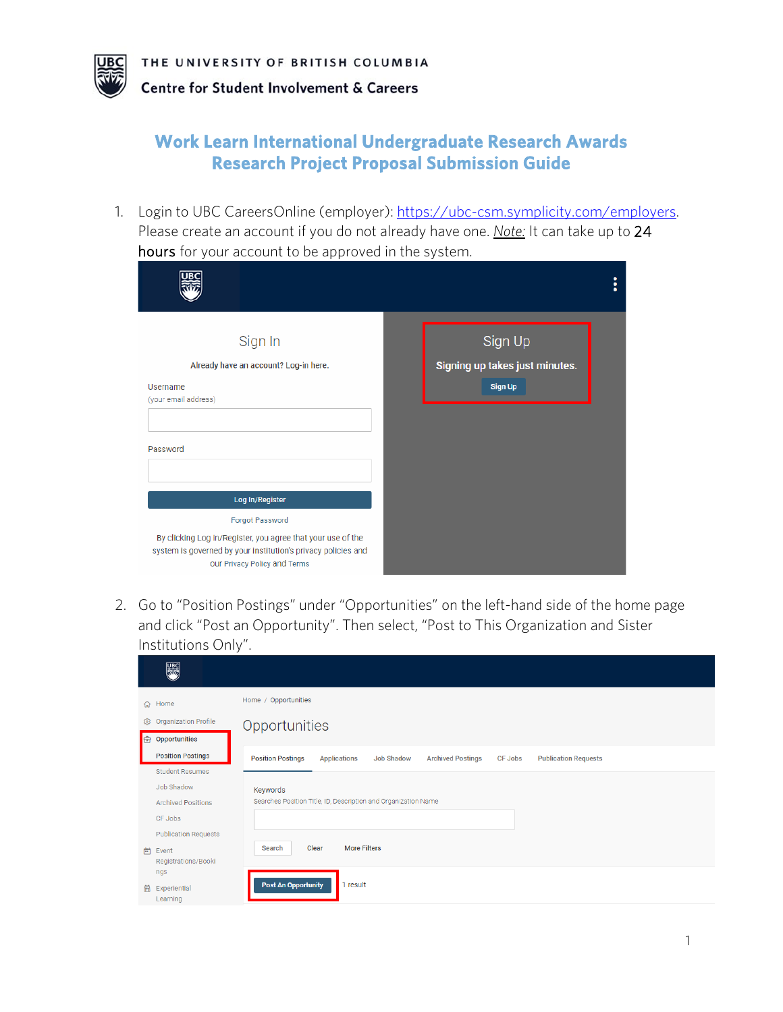IR(

## **Work Learn International Undergraduate Research Awards Research Project Proposal Submission Guide**

1. Login to UBC CareersOnline (employer): [https://ubc-csm.symplicity.com/employers.](https://ubc-csm.symplicity.com/employers) Please create an account if you do not already have one. *Note:* It can take up to 24 hours for your account to be approved in the system.

| Sign In<br>Already have an account? Log-in here.<br>Username<br>(your email address)<br>Password                                                                                                   | Sign Up<br>Signing up takes just minutes.<br><b>Sign Up</b> |
|----------------------------------------------------------------------------------------------------------------------------------------------------------------------------------------------------|-------------------------------------------------------------|
| Log In/Register<br>Forgot Password<br>By clicking Log in/Register, you agree that your use of the<br>system is governed by your institution's privacy policies and<br>our Privacy Policy and Terms |                                                             |

2. Go to "Position Postings" under "Opportunities" on the left-hand side of the home page and click "Post an Opportunity". Then select, "Post to This Organization and Sister Institutions Only".

| 體                            |                                                                                                                                                   |
|------------------------------|---------------------------------------------------------------------------------------------------------------------------------------------------|
| Home<br>⊙                    | Home / Opportunities                                                                                                                              |
| Organization Profile<br>ලා   | Opportunities                                                                                                                                     |
| Opportunities<br>$\bigoplus$ |                                                                                                                                                   |
| <b>Position Postings</b>     | <b>Position Postings</b><br><b>Job Shadow</b><br><b>Archived Postings</b><br><b>Applications</b><br><b>CF Jobs</b><br><b>Publication Requests</b> |
| <b>Student Resumes</b>       |                                                                                                                                                   |
| Job Shadow                   | Keywords                                                                                                                                          |
| <b>Archived Positions</b>    | Searches Position Title, ID, Description and Organization Name                                                                                    |
| CF Jobs                      |                                                                                                                                                   |
| <b>Publication Requests</b>  |                                                                                                                                                   |
| 曲<br>Event                   | Clear<br><b>More Filters</b><br>Search                                                                                                            |
| Registrations/Booki          |                                                                                                                                                   |
|                              | <b>Post An Opportunity</b><br>1 result                                                                                                            |
|                              |                                                                                                                                                   |
|                              | ngs<br>囹<br>Experiential<br>Learning                                                                                                              |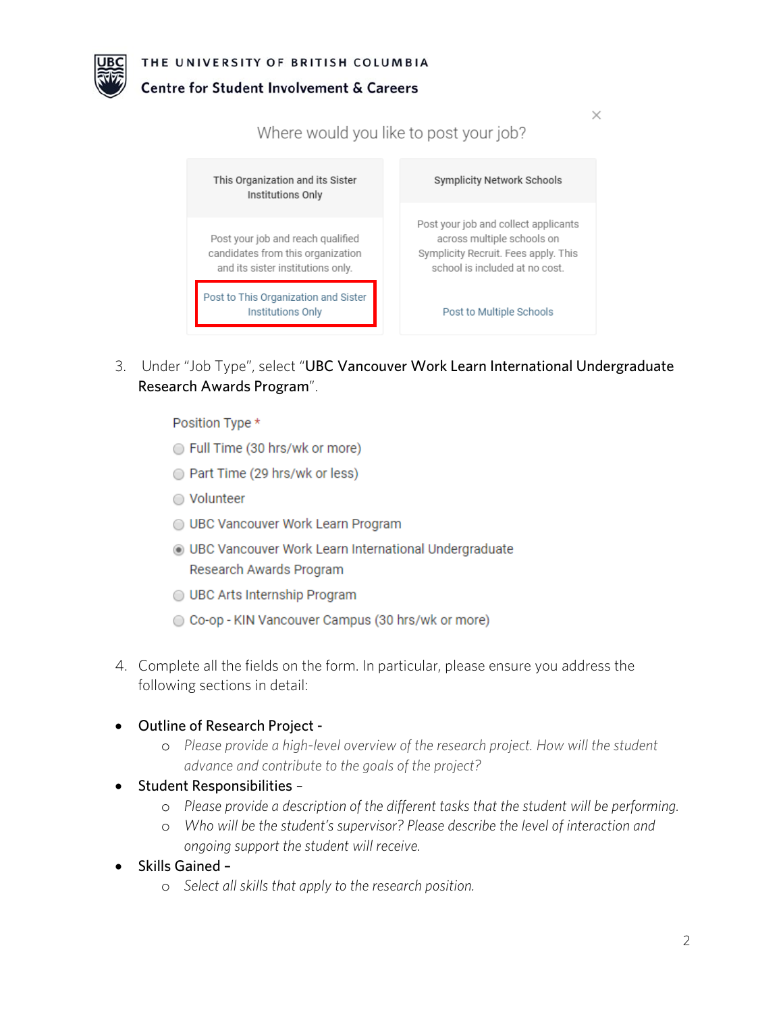

## Centre for Student Involvement & Careers

Where would you like to post your job? This Organization and its Sister **Symplicity Network Schools** Institutions Only Post your job and collect applicants Post your job and reach qualified across multiple schools on candidates from this organization Symplicity Recruit. Fees apply. This and its sister institutions only. school is included at no cost. Post to This Organization and Sister **Institutions Only** Post to Multiple Schools

 $\times$ 

3. Under "Job Type", select "UBC Vancouver Work Learn International Undergraduate Research Awards Program".

Position Type \*

- ◯ Full Time (30 hrs/wk or more)
- ◯ Part Time (29 hrs/wk or less)
- ◯ Volunteer
- O UBC Vancouver Work Learn Program
- **IDEC Vancouver Work Learn International Undergraduate** Research Awards Program
- ◯ UBC Arts Internship Program
- © Co-op KIN Vancouver Campus (30 hrs/wk or more)
- 4. Complete all the fields on the form. In particular, please ensure you address the following sections in detail:
- Outline of Research Project
	- o *Please provide a high-level overview of the research project. How will the student advance and contribute to the goals of the project?*
- Student Responsibilities
	- o *Please provide a description of the different tasks that the student will be performing.*
	- o *Who will be the student's supervisor? Please describe the level of interaction and ongoing support the student will receive.*
- Skills Gained
	- o *Select all skills that apply to the research position.*